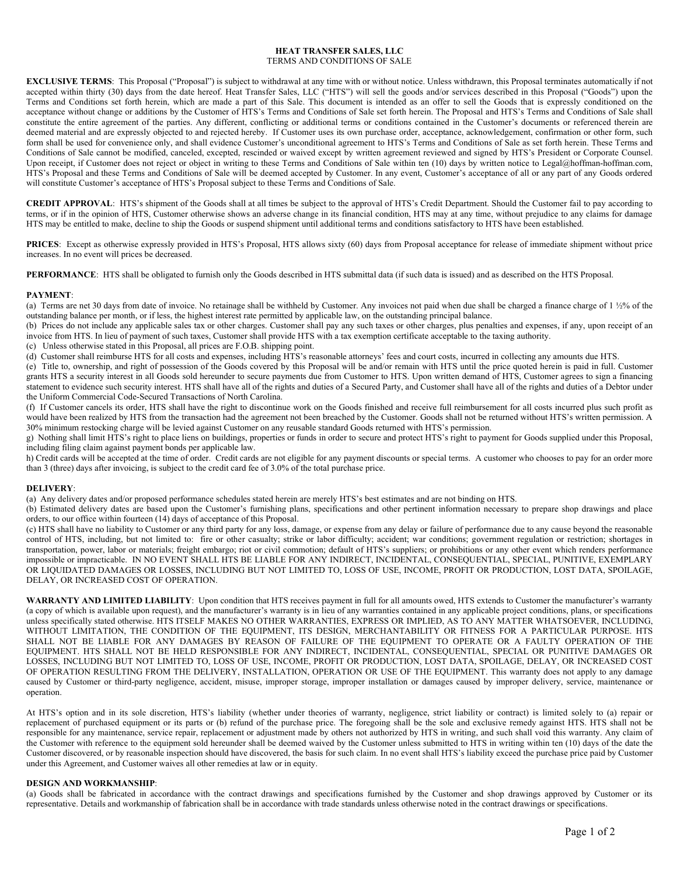### **HEAT TRANSFER SALES, LLC** TERMS AND CONDITIONS OF SALE

**EXCLUSIVE TERMS:** This Proposal ("Proposal") is subject to withdrawal at any time with or without notice. Unless withdrawn, this Proposal terminates automatically if not accepted within thirty (30) days from the date hereof. Heat Transfer Sales, LLC ("HTS") will sell the goods and/or services described in this Proposal ("Goods") upon the Terms and Conditions set forth herein, which are made a part of this Sale. This document is intended as an offer to sell the Goods that is expressly conditioned on the acceptance without change or additions by the Customer of HTS's Terms and Conditions of Sale set forth herein. The Proposal and HTS's Terms and Conditions of Sale shall constitute the entire agreement of the parties. Any different, conflicting or additional terms or conditions contained in the Customer's documents or referenced therein are deemed material and are expressly objected to and rejected hereby. If Customer uses its own purchase order, acceptance, acknowledgement, confirmation or other form, such form shall be used for convenience only, and shall evidence Customer's unconditional agreement to HTS's Terms and Conditions of Sale as set forth herein. These Terms and Conditions of Sale cannot be modified, canceled, excepted, rescinded or waived except by written agreement reviewed and signed by HTS's President or Corporate Counsel. Upon receipt, if Customer does not reject or object in writing to these Terms and Conditions of Sale within ten (10) days by written notice to Legal@hoffman-hoffman.com, HTS's Proposal and these Terms and Conditions of Sale will be deemed accepted by Customer. In any event, Customer's acceptance of all or any part of any Goods ordered will constitute Customer's acceptance of HTS's Proposal subject to these Terms and Conditions of Sale.

**CREDIT APPROVAL**: HTS's shipment of the Goods shall at all times be subject to the approval of HTS's Credit Department. Should the Customer fail to pay according to terms, or if in the opinion of HTS, Customer otherwise shows an adverse change in its financial condition, HTS may at any time, without prejudice to any claims for damage HTS may be entitled to make, decline to ship the Goods or suspend shipment until additional terms and conditions satisfactory to HTS have been established.

**PRICES**: Except as otherwise expressly provided in HTS's Proposal, HTS allows sixty (60) days from Proposal acceptance for release of immediate shipment without price increases. In no event will prices be decreased.

**PERFORMANCE**: HTS shall be obligated to furnish only the Goods described in HTS submittal data (if such data is issued) and as described on the HTS Proposal.

## **PAYMENT**:

(a) Terms are net 30 days from date of invoice. No retainage shall be withheld by Customer. Any invoices not paid when due shall be charged a finance charge of 1 ½% of the outstanding balance per month, or if less, the highest interest rate permitted by applicable law, on the outstanding principal balance.

(b) Prices do not include any applicable sales tax or other charges. Customer shall pay any such taxes or other charges, plus penalties and expenses, if any, upon receipt of an invoice from HTS. In lieu of payment of such taxes, Customer shall provide HTS with a tax exemption certificate acceptable to the taxing authority.

(c) Unless otherwise stated in this Proposal, all prices are F.O.B. shipping point. (d) Customer shall reimburse HTS for all costs and expenses, including HTS's reasonable attorneys' fees and court costs, incurred in collecting any amounts due HTS.

(e) Title to, ownership, and right of possession of the Goods covered by this Proposal will be and/or remain with HTS until the price quoted herein is paid in full. Customer

grants HTS a security interest in all Goods sold hereunder to secure payments due from Customer to HTS. Upon written demand of HTS, Customer agrees to sign a financing statement to evidence such security interest. HTS shall have all of the rights and duties of a Secured Party, and Customer shall have all of the rights and duties of a Debtor under the Uniform Commercial Code-Secured Transactions of North Carolina.

(f) If Customer cancels its order, HTS shall have the right to discontinue work on the Goods finished and receive full reimbursement for all costs incurred plus such profit as would have been realized by HTS from the transaction had the agreement not been breached by the Customer. Goods shall not be returned without HTS's written permission. A 30% minimum restocking charge will be levied against Customer on any reusable standard Goods returned with HTS's permission.

g) Nothing shall limit HTS's right to place liens on buildings, properties or funds in order to secure and protect HTS's right to payment for Goods supplied under this Proposal, including filing claim against payment bonds per applicable law.

h) Credit cards will be accepted at the time of order. Credit cards are not eligible for any payment discounts or special terms. A customer who chooses to pay for an order more than 3 (three) days after invoicing, is subject to the credit card fee of 3.0% of the total purchase price.

#### **DELIVERY**:

(a) Any delivery dates and/or proposed performance schedules stated herein are merely HTS's best estimates and are not binding on HTS.

(b) Estimated delivery dates are based upon the Customer's furnishing plans, specifications and other pertinent information necessary to prepare shop drawings and place orders, to our office within fourteen (14) days of acceptance of this Proposal.

(c) HTS shall have no liability to Customer or any third party for any loss, damage, or expense from any delay or failure of performance due to any cause beyond the reasonable control of HTS, including, but not limited to: fire or other casualty; strike or labor difficulty; accident; war conditions; government regulation or restriction; shortages in transportation, power, labor or materials; freight embargo; riot or civil commotion; default of HTS's suppliers; or prohibitions or any other event which renders performance impossible or impracticable. IN NO EVENT SHALL HTS BE LIABLE FOR ANY INDIRECT, INCIDENTAL, CONSEQUENTIAL, SPECIAL, PUNITIVE, EXEMPLARY OR LIQUIDATED DAMAGES OR LOSSES, INCLUDING BUT NOT LIMITED TO, LOSS OF USE, INCOME, PROFIT OR PRODUCTION, LOST DATA, SPOILAGE, DELAY, OR INCREASED COST OF OPERATION.

**WARRANTY AND LIMITED LIABILITY**: Upon condition that HTS receives payment in full for all amounts owed, HTS extends to Customer the manufacturer's warranty (a copy of which is available upon request), and the manufacturer's warranty is in lieu of any warranties contained in any applicable project conditions, plans, or specifications unless specifically stated otherwise. HTS ITSELF MAKES NO OTHER WARRANTIES, EXPRESS OR IMPLIED, AS TO ANY MATTER WHATSOEVER, INCLUDING, WITHOUT LIMITATION, THE CONDITION OF THE EQUIPMENT, ITS DESIGN, MERCHANTABILITY OR FITNESS FOR A PARTICULAR PURPOSE. HTS SHALL NOT BE LIABLE FOR ANY DAMAGES BY REASON OF FAILURE OF THE EQUIPMENT TO OPERATE OR A FAULTY OPERATION OF THE EQUIPMENT. HTS SHALL NOT BE HELD RESPONSIBLE FOR ANY INDIRECT, INCIDENTAL, CONSEQUENTIAL, SPECIAL OR PUNITIVE DAMAGES OR LOSSES, INCLUDING BUT NOT LIMITED TO, LOSS OF USE, INCOME, PROFIT OR PRODUCTION, LOST DATA, SPOILAGE, DELAY, OR INCREASED COST OF OPERATION RESULTING FROM THE DELIVERY, INSTALLATION, OPERATION OR USE OF THE EQUIPMENT. This warranty does not apply to any damage caused by Customer or third-party negligence, accident, misuse, improper storage, improper installation or damages caused by improper delivery, service, maintenance or operation.

At HTS's option and in its sole discretion, HTS's liability (whether under theories of warranty, negligence, strict liability or contract) is limited solely to (a) repair or replacement of purchased equipment or its parts or (b) refund of the purchase price. The foregoing shall be the sole and exclusive remedy against HTS. HTS shall not be responsible for any maintenance, service repair, replacement or adjustment made by others not authorized by HTS in writing, and such shall void this warranty. Any claim of the Customer with reference to the equipment sold hereunder shall be deemed waived by the Customer unless submitted to HTS in writing within ten (10) days of the date the Customer discovered, or by reasonable inspection should have discovered, the basis for such claim. In no event shall HTS's liability exceed the purchase price paid by Customer under this Agreement, and Customer waives all other remedies at law or in equity.

# **DESIGN AND WORKMANSHIP**:

(a) Goods shall be fabricated in accordance with the contract drawings and specifications furnished by the Customer and shop drawings approved by Customer or its representative. Details and workmanship of fabrication shall be in accordance with trade standards unless otherwise noted in the contract drawings or specifications.